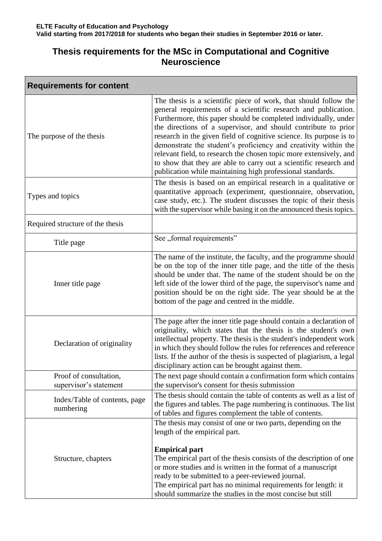## **Thesis requirements for the MSc in Computational and Cognitive Neuroscience**

| <b>Requirements for content</b>                  |                                                                                                                                                                                                                                                                                                                                                                                                                                                                                                                                                                                                                            |  |
|--------------------------------------------------|----------------------------------------------------------------------------------------------------------------------------------------------------------------------------------------------------------------------------------------------------------------------------------------------------------------------------------------------------------------------------------------------------------------------------------------------------------------------------------------------------------------------------------------------------------------------------------------------------------------------------|--|
| The purpose of the thesis                        | The thesis is a scientific piece of work, that should follow the<br>general requirements of a scientific research and publication.<br>Furthermore, this paper should be completed individually, under<br>the directions of a supervisor, and should contribute to prior<br>research in the given field of cognitive science. Its purpose is to<br>demonstrate the student's proficiency and creativity within the<br>relevant field, to research the chosen topic more extensively, and<br>to show that they are able to carry out a scientific research and<br>publication while maintaining high professional standards. |  |
| Types and topics                                 | The thesis is based on an empirical research in a qualitative or<br>quantitative approach (experiment, questionnaire, observation,<br>case study, etc.). The student discusses the topic of their thesis<br>with the supervisor while basing it on the announced thesis topics.                                                                                                                                                                                                                                                                                                                                            |  |
| Required structure of the thesis                 |                                                                                                                                                                                                                                                                                                                                                                                                                                                                                                                                                                                                                            |  |
| Title page                                       | See "formal requirements"                                                                                                                                                                                                                                                                                                                                                                                                                                                                                                                                                                                                  |  |
| Inner title page                                 | The name of the institute, the faculty, and the programme should<br>be on the top of the inner title page, and the title of the thesis<br>should be under that. The name of the student should be on the<br>left side of the lower third of the page, the supervisor's name and<br>position should be on the right side. The year should be at the<br>bottom of the page and centred in the middle.                                                                                                                                                                                                                        |  |
| Declaration of originality                       | The page after the inner title page should contain a declaration of<br>originality, which states that the thesis is the student's own<br>intellectual property. The thesis is the student's independent work<br>in which they should follow the rules for references and reference<br>lists. If the author of the thesis is suspected of plagiarism, a legal<br>disciplinary action can be brought against them.                                                                                                                                                                                                           |  |
| Proof of consultation,<br>supervisor's statement | The next page should contain a confirmation form which contains<br>the supervisor's consent for thesis submission                                                                                                                                                                                                                                                                                                                                                                                                                                                                                                          |  |
| Index/Table of contents, page<br>numbering       | The thesis should contain the table of contents as well as a list of<br>the figures and tables. The page numbering is continuous. The list<br>of tables and figures complement the table of contents.                                                                                                                                                                                                                                                                                                                                                                                                                      |  |
| Structure, chapters                              | The thesis may consist of one or two parts, depending on the<br>length of the empirical part.<br><b>Empirical part</b><br>The empirical part of the thesis consists of the description of one<br>or more studies and is written in the format of a manuscript<br>ready to be submitted to a peer-reviewed journal.<br>The empirical part has no minimal requirements for length: it<br>should summarize the studies in the most concise but still                                                                                                                                                                          |  |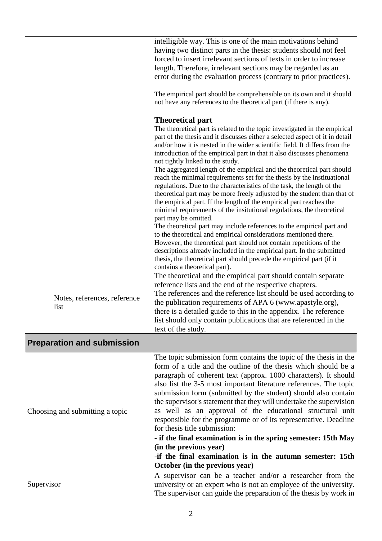|                                      | intelligible way. This is one of the main motivations behind<br>having two distinct parts in the thesis: students should not feel<br>forced to insert irrelevant sections of texts in order to increase<br>length. Therefore, irrelevant sections may be regarded as an<br>error during the evaluation process (contrary to prior practices).                                                                                                                                                                                                                                                                                                                                                                                                                                                                                                                                                                                                                                                                                                                                                                                                                                                                                              |
|--------------------------------------|--------------------------------------------------------------------------------------------------------------------------------------------------------------------------------------------------------------------------------------------------------------------------------------------------------------------------------------------------------------------------------------------------------------------------------------------------------------------------------------------------------------------------------------------------------------------------------------------------------------------------------------------------------------------------------------------------------------------------------------------------------------------------------------------------------------------------------------------------------------------------------------------------------------------------------------------------------------------------------------------------------------------------------------------------------------------------------------------------------------------------------------------------------------------------------------------------------------------------------------------|
|                                      | The empirical part should be comprehensible on its own and it should<br>not have any references to the theoretical part (if there is any).                                                                                                                                                                                                                                                                                                                                                                                                                                                                                                                                                                                                                                                                                                                                                                                                                                                                                                                                                                                                                                                                                                 |
|                                      | <b>Theoretical part</b><br>The theoretical part is related to the topic investigated in the empirical<br>part of the thesis and it discusses either a selected aspect of it in detail<br>and/or how it is nested in the wider scientific field. It differs from the<br>introduction of the empirical part in that it also discusses phenomena<br>not tightly linked to the study.<br>The aggregated length of the empirical and the theoretical part should<br>reach the minimal requirements set for the thesis by the instituational<br>regulations. Due to the characteristics of the task, the length of the<br>theoretical part may be more freely adjusted by the student than that of<br>the empirical part. If the length of the empirical part reaches the<br>minimal requirements of the insitutional regulations, the theoretical<br>part may be omitted.<br>The theoretical part may include references to the empirical part and<br>to the theoretical and empirical considerations mentioned there.<br>However, the theoretical part should not contain repetitions of the<br>descriptions already included in the empirical part. In the submitted<br>thesis, the theoretical part should precede the empirical part (if it |
|                                      | contains a theoretical part).<br>The theoretical and the empirical part should contain separate                                                                                                                                                                                                                                                                                                                                                                                                                                                                                                                                                                                                                                                                                                                                                                                                                                                                                                                                                                                                                                                                                                                                            |
| Notes, references, reference<br>list | reference lists and the end of the respective chapters.<br>The references and the reference list should be used according to<br>the publication requirements of APA 6 (www.apastyle.org),<br>there is a detailed guide to this in the appendix. The reference<br>list should only contain publications that are referenced in the<br>text of the study.                                                                                                                                                                                                                                                                                                                                                                                                                                                                                                                                                                                                                                                                                                                                                                                                                                                                                    |
| <b>Preparation and submission</b>    |                                                                                                                                                                                                                                                                                                                                                                                                                                                                                                                                                                                                                                                                                                                                                                                                                                                                                                                                                                                                                                                                                                                                                                                                                                            |
| Choosing and submitting a topic      | The topic submission form contains the topic of the thesis in the<br>form of a title and the outline of the thesis which should be a<br>paragraph of coherent text (approx. 1000 characters). It should<br>also list the 3-5 most important literature references. The topic<br>submission form (submitted by the student) should also contain<br>the supervisor's statement that they will undertake the supervision<br>as well as an approval of the educational structural unit<br>responsible for the programme or of its representative. Deadline<br>for thesis title submission:<br>- if the final examination is in the spring semester: 15th May<br>(in the previous year)<br>-if the final examination is in the autumn semester: 15th<br>October (in the previous year)                                                                                                                                                                                                                                                                                                                                                                                                                                                          |
| Supervisor                           | A supervisor can be a teacher and/or a researcher from the<br>university or an expert who is not an employee of the university.<br>The supervisor can guide the preparation of the thesis by work in                                                                                                                                                                                                                                                                                                                                                                                                                                                                                                                                                                                                                                                                                                                                                                                                                                                                                                                                                                                                                                       |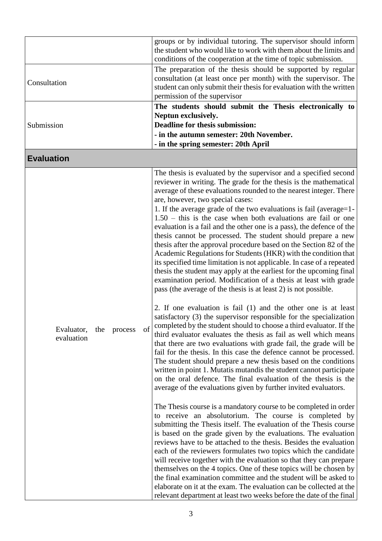|                                                  | groups or by individual tutoring. The supervisor should inform<br>the student who would like to work with them about the limits and<br>conditions of the cooperation at the time of topic submission.                                                                                                                                                                                                                                                                                                                                                                                                                                                                                                                                                                                                                                                                                                                                                                                                                                                                                                                                                                                                                                                                                                                                                                                                                                                                                                                                                                                                                                                                                                                                                                                                                                                                                                                                                                                                                                                                                                                                                                                                                                                                                                                                                                              |
|--------------------------------------------------|------------------------------------------------------------------------------------------------------------------------------------------------------------------------------------------------------------------------------------------------------------------------------------------------------------------------------------------------------------------------------------------------------------------------------------------------------------------------------------------------------------------------------------------------------------------------------------------------------------------------------------------------------------------------------------------------------------------------------------------------------------------------------------------------------------------------------------------------------------------------------------------------------------------------------------------------------------------------------------------------------------------------------------------------------------------------------------------------------------------------------------------------------------------------------------------------------------------------------------------------------------------------------------------------------------------------------------------------------------------------------------------------------------------------------------------------------------------------------------------------------------------------------------------------------------------------------------------------------------------------------------------------------------------------------------------------------------------------------------------------------------------------------------------------------------------------------------------------------------------------------------------------------------------------------------------------------------------------------------------------------------------------------------------------------------------------------------------------------------------------------------------------------------------------------------------------------------------------------------------------------------------------------------------------------------------------------------------------------------------------------------|
| Consultation                                     | The preparation of the thesis should be supported by regular<br>consultation (at least once per month) with the supervisor. The<br>student can only submit their thesis for evaluation with the written<br>permission of the supervisor                                                                                                                                                                                                                                                                                                                                                                                                                                                                                                                                                                                                                                                                                                                                                                                                                                                                                                                                                                                                                                                                                                                                                                                                                                                                                                                                                                                                                                                                                                                                                                                                                                                                                                                                                                                                                                                                                                                                                                                                                                                                                                                                            |
| Submission                                       | The students should submit the Thesis electronically to<br>Neptun exclusively.<br>Deadline for thesis submission:<br>- in the autumn semester: 20th November.<br>- in the spring semester: 20th April                                                                                                                                                                                                                                                                                                                                                                                                                                                                                                                                                                                                                                                                                                                                                                                                                                                                                                                                                                                                                                                                                                                                                                                                                                                                                                                                                                                                                                                                                                                                                                                                                                                                                                                                                                                                                                                                                                                                                                                                                                                                                                                                                                              |
| <b>Evaluation</b>                                |                                                                                                                                                                                                                                                                                                                                                                                                                                                                                                                                                                                                                                                                                                                                                                                                                                                                                                                                                                                                                                                                                                                                                                                                                                                                                                                                                                                                                                                                                                                                                                                                                                                                                                                                                                                                                                                                                                                                                                                                                                                                                                                                                                                                                                                                                                                                                                                    |
| of<br>Evaluator,<br>the<br>process<br>evaluation | The thesis is evaluated by the supervisor and a specified second<br>reviewer in writing. The grade for the thesis is the mathematical<br>average of these evaluations rounded to the nearest integer. There<br>are, however, two special cases:<br>1. If the average grade of the two evaluations is fail (average=1-<br>$1.50 - this$ is the case when both evaluations are fail or one<br>evaluation is a fail and the other one is a pass), the defence of the<br>thesis cannot be processed. The student should prepare a new<br>thesis after the approval procedure based on the Section 82 of the<br>Academic Regulations for Students (HKR) with the condition that<br>its specified time limitation is not applicable. In case of a repeated<br>thesis the student may apply at the earliest for the upcoming final<br>examination period. Modification of a thesis at least with grade<br>pass (the average of the thesis is at least 2) is not possible.<br>2. If one evaluation is fail (1) and the other one is at least<br>satisfactory (3) the supervisor responsible for the specialization<br>completed by the student should to choose a third evaluator. If the<br>third evaluator evaluates the thesis as fail as well which means<br>that there are two evaluations with grade fail, the grade will be<br>fail for the thesis. In this case the defence cannot be processed.<br>The student should prepare a new thesis based on the conditions<br>written in point 1. Mutatis mutandis the student cannot participate<br>on the oral defence. The final evaluation of the thesis is the<br>average of the evaluations given by further invited evaluators.<br>The Thesis course is a mandatory course to be completed in order<br>to receive an absolutorium. The course is completed by<br>submitting the Thesis itself. The evaluation of the Thesis course<br>is based on the grade given by the evaluations. The evaluation<br>reviews have to be attached to the thesis. Besides the evaluation<br>each of the reviewers formulates two topics which the candidate<br>will receive together with the evaluation so that they can prepare<br>themselves on the 4 topics. One of these topics will be chosen by<br>the final examination committee and the student will be asked to<br>elaborate on it at the exam. The evaluation can be collected at the |
|                                                  | relevant department at least two weeks before the date of the final                                                                                                                                                                                                                                                                                                                                                                                                                                                                                                                                                                                                                                                                                                                                                                                                                                                                                                                                                                                                                                                                                                                                                                                                                                                                                                                                                                                                                                                                                                                                                                                                                                                                                                                                                                                                                                                                                                                                                                                                                                                                                                                                                                                                                                                                                                                |